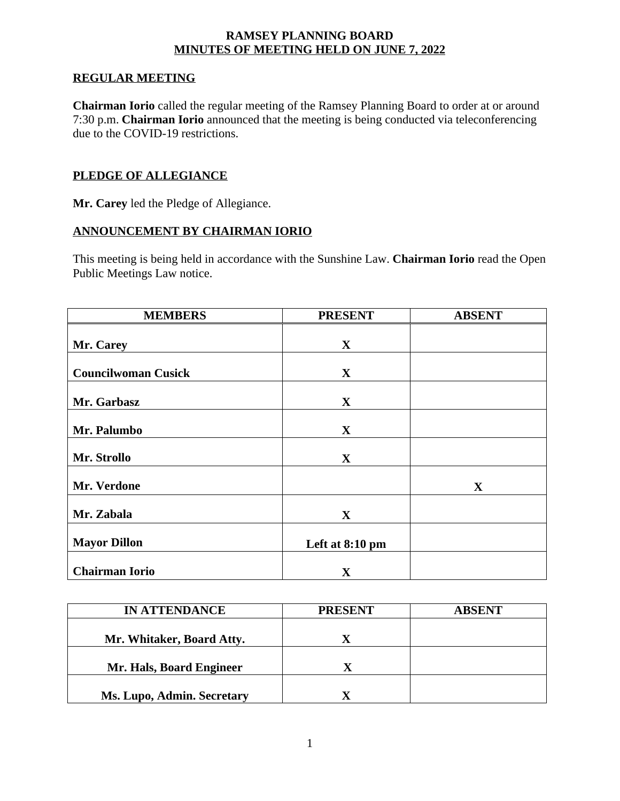#### **RAMSEY PLANNING BOARD MINUTES OF MEETING HELD ON JUNE 7, 2022**

#### **REGULAR MEETING**

**Chairman Iorio** called the regular meeting of the Ramsey Planning Board to order at or around 7:30 p.m. **Chairman Iorio** announced that the meeting is being conducted via teleconferencing due to the COVID-19 restrictions.

### **PLEDGE OF ALLEGIANCE**

**Mr. Carey** led the Pledge of Allegiance.

#### **ANNOUNCEMENT BY CHAIRMAN IORIO**

This meeting is being held in accordance with the Sunshine Law. **Chairman Iorio** read the Open Public Meetings Law notice.

| <b>MEMBERS</b>             | <b>PRESENT</b>  | <b>ABSENT</b> |
|----------------------------|-----------------|---------------|
|                            |                 |               |
| Mr. Carey                  | $\mathbf{X}$    |               |
|                            |                 |               |
| <b>Councilwoman Cusick</b> | $\mathbf{X}$    |               |
|                            |                 |               |
| Mr. Garbasz                | $\mathbf{X}$    |               |
|                            |                 |               |
| Mr. Palumbo                | $\mathbf{X}$    |               |
| Mr. Strollo                | $\mathbf{X}$    |               |
|                            |                 |               |
| Mr. Verdone                |                 | $\mathbf{X}$  |
|                            |                 |               |
| Mr. Zabala                 | $\mathbf{X}$    |               |
| <b>Mayor Dillon</b>        | Left at 8:10 pm |               |
|                            |                 |               |
| <b>Chairman Iorio</b>      | $\mathbf X$     |               |

| <b>IN ATTENDANCE</b>       | <b>PRESENT</b> | <b>ABSENT</b> |
|----------------------------|----------------|---------------|
|                            |                |               |
| Mr. Whitaker, Board Atty.  |                |               |
|                            |                |               |
| Mr. Hals, Board Engineer   |                |               |
|                            |                |               |
| Ms. Lupo, Admin. Secretary |                |               |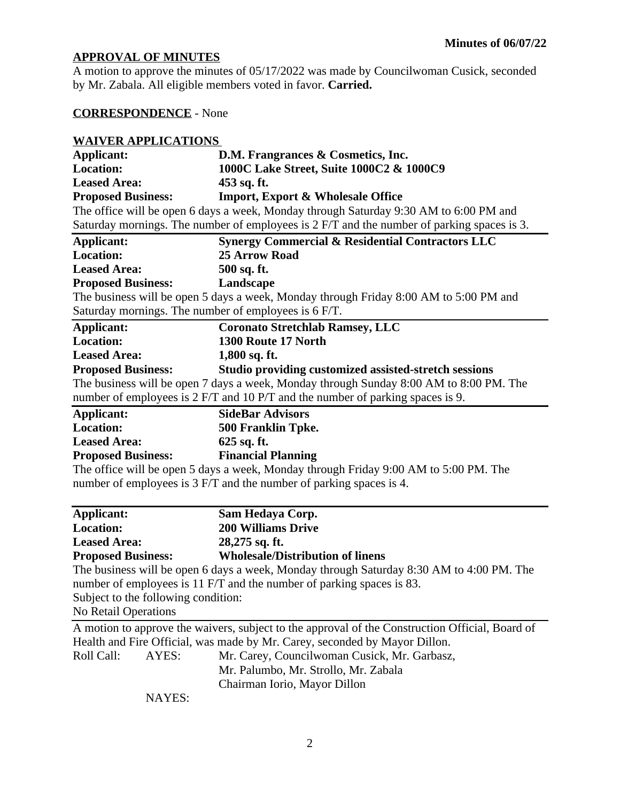# **APPROVAL OF MINUTES**

A motion to approve the minutes of 05/17/2022 was made by Councilwoman Cusick, seconded by Mr. Zabala. All eligible members voted in favor. **Carried.**

# **CORRESPONDENCE** - None

# **WAIVER APPLICATIONS**

| Applicant:                                                                            | D.M. Frangrances & Cosmetics, Inc.                                                         |
|---------------------------------------------------------------------------------------|--------------------------------------------------------------------------------------------|
| <b>Location:</b>                                                                      | 1000C Lake Street, Suite 1000C2 & 1000C9                                                   |
| <b>Leased Area:</b>                                                                   | $453$ sq. ft.                                                                              |
| <b>Proposed Business:</b>                                                             | <b>Import, Export &amp; Wholesale Office</b>                                               |
| The office will be open 6 days a week, Monday through Saturday 9:30 AM to 6:00 PM and |                                                                                            |
|                                                                                       | Saturday mornings. The number of employees is 2 F/T and the number of parking spaces is 3. |

| Applicant:                                           | <b>Synergy Commercial &amp; Residential Contractors LLC</b>                            |
|------------------------------------------------------|----------------------------------------------------------------------------------------|
| <b>Location:</b>                                     | <b>25 Arrow Road</b>                                                                   |
| <b>Leased Area:</b>                                  | 500 sq. ft.                                                                            |
| <b>Proposed Business:</b>                            | Landscape                                                                              |
|                                                      | The business will be open 5 days a week, Monday through Friday 8:00 AM to 5:00 PM and  |
| Saturday mornings. The number of employees is 6 F/T. |                                                                                        |
| Applicant:                                           | <b>Coronato Stretchlab Ramsey, LLC</b>                                                 |
| <b>Location:</b>                                     | 1300 Route 17 North                                                                    |
| <b>Leased Area:</b>                                  | $1,800$ sq. ft.                                                                        |
| <b>Proposed Business:</b>                            | Studio providing customized assisted-stretch sessions                                  |
|                                                      | The business will be open 7 days a week, Monday through Sunday 8:00 AM to 8:00 PM. The |
|                                                      | number of employees is 2 F/T and 10 P/T and the number of parking spaces is 9.         |
| <b>Applicant:</b>                                    | <b>SideBar Advisors</b>                                                                |
| <b>Location:</b>                                     | 500 Franklin Tpke.                                                                     |
| <b>Leased Area:</b>                                  | 625 sq. ft.                                                                            |
| <b>Proposed Business:</b>                            | <b>Financial Planning</b>                                                              |
|                                                      | The office will be open 5 days a week, Monday through Friday 9:00 AM to 5:00 PM. The   |
|                                                      | number of employees is 3 F/T and the number of parking spaces is 4.                    |
| Applicant:                                           | Sam Hedaya Corp.                                                                       |
| Location:                                            | 200 Williams Drive                                                                     |

| леррисации                          | Dain Heuaya Corp.                                                                               |
|-------------------------------------|-------------------------------------------------------------------------------------------------|
| <b>Location:</b>                    | <b>200 Williams Drive</b>                                                                       |
| <b>Leased Area:</b>                 | $28,275$ sq. ft.                                                                                |
| <b>Proposed Business:</b>           | <b>Wholesale/Distribution of linens</b>                                                         |
|                                     | The business will be open 6 days a week, Monday through Saturday 8:30 AM to 4:00 PM. The        |
|                                     | number of employees is 11 F/T and the number of parking spaces is 83.                           |
| Subject to the following condition: |                                                                                                 |
| No Retail Operations                |                                                                                                 |
|                                     | A motion to approve the waivers, subject to the approval of the Construction Official, Board of |
|                                     | Health and Fire Official, was made by Mr. Carey, seconded by Mayor Dillon.                      |
| Roll Call:<br>AYES:                 | Mr. Carey, Councilwoman Cusick, Mr. Garbasz,                                                    |
|                                     | Mr. Palumbo, Mr. Strollo, Mr. Zabala                                                            |
|                                     | Chairman Iorio, Mayor Dillon                                                                    |

NAYES: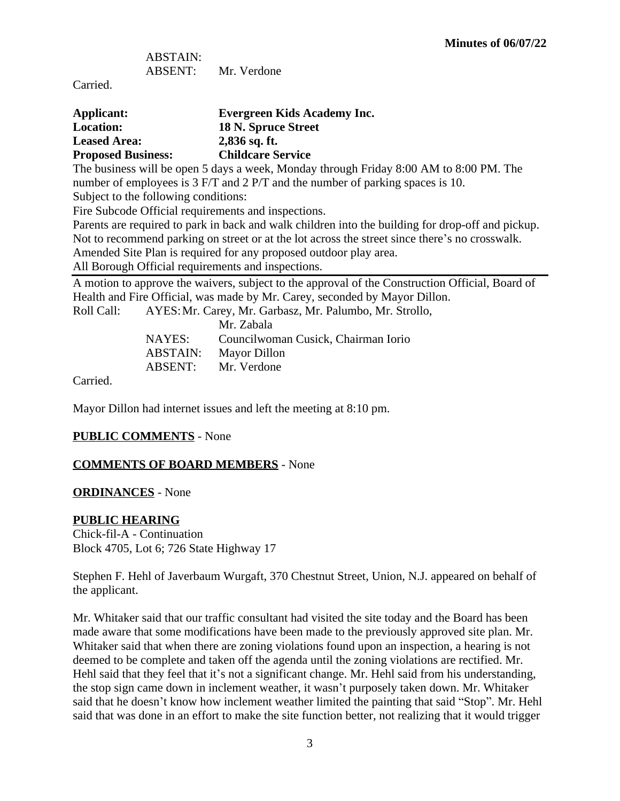ABSTAIN: ABSENT: Mr. Verdone

Carried.

| Applicant:                | <b>Evergreen Kids Academy Inc.</b> |
|---------------------------|------------------------------------|
| <b>Location:</b>          | 18 N. Spruce Street                |
| <b>Leased Area:</b>       | $2,836$ sq. ft.                    |
| <b>Proposed Business:</b> | <b>Childcare Service</b>           |

The business will be open 5 days a week, Monday through Friday 8:00 AM to 8:00 PM. The number of employees is 3 F/T and 2 P/T and the number of parking spaces is 10.

Subject to the following conditions:

Fire Subcode Official requirements and inspections.

Parents are required to park in back and walk children into the building for drop-off and pickup. Not to recommend parking on street or at the lot across the street since there's no crosswalk.

Amended Site Plan is required for any proposed outdoor play area.

All Borough Official requirements and inspections.

A motion to approve the waivers, subject to the approval of the Construction Official, Board of Health and Fire Official, was made by Mr. Carey, seconded by Mayor Dillon.

Roll Call: AYES:Mr. Carey, Mr. Garbasz, Mr. Palumbo, Mr. Strollo,

|          | Mr. Zabala                          |
|----------|-------------------------------------|
| NAYES:   | Councilwoman Cusick, Chairman Iorio |
| ABSTAIN: | Mayor Dillon                        |
| ABSENT:  | Mr. Verdone                         |
|          |                                     |

Carried.

Mayor Dillon had internet issues and left the meeting at 8:10 pm.

### **PUBLIC COMMENTS** - None

### **COMMENTS OF BOARD MEMBERS** - None

### **ORDINANCES** - None

### **PUBLIC HEARING**

Chick-fil-A - Continuation Block 4705, Lot 6; 726 State Highway 17

Stephen F. Hehl of Javerbaum Wurgaft, 370 Chestnut Street, Union, N.J. appeared on behalf of the applicant.

Mr. Whitaker said that our traffic consultant had visited the site today and the Board has been made aware that some modifications have been made to the previously approved site plan. Mr. Whitaker said that when there are zoning violations found upon an inspection, a hearing is not deemed to be complete and taken off the agenda until the zoning violations are rectified. Mr. Hehl said that they feel that it's not a significant change. Mr. Hehl said from his understanding, the stop sign came down in inclement weather, it wasn't purposely taken down. Mr. Whitaker said that he doesn't know how inclement weather limited the painting that said "Stop". Mr. Hehl said that was done in an effort to make the site function better, not realizing that it would trigger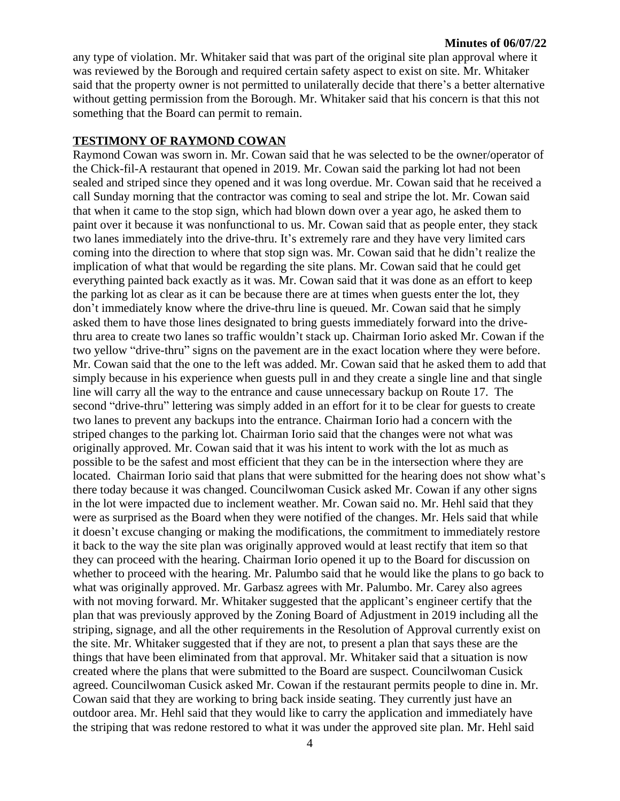#### **Minutes of 06/07/22**

any type of violation. Mr. Whitaker said that was part of the original site plan approval where it was reviewed by the Borough and required certain safety aspect to exist on site. Mr. Whitaker said that the property owner is not permitted to unilaterally decide that there's a better alternative without getting permission from the Borough. Mr. Whitaker said that his concern is that this not something that the Board can permit to remain.

#### **TESTIMONY OF RAYMOND COWAN**

Raymond Cowan was sworn in. Mr. Cowan said that he was selected to be the owner/operator of the Chick-fil-A restaurant that opened in 2019. Mr. Cowan said the parking lot had not been sealed and striped since they opened and it was long overdue. Mr. Cowan said that he received a call Sunday morning that the contractor was coming to seal and stripe the lot. Mr. Cowan said that when it came to the stop sign, which had blown down over a year ago, he asked them to paint over it because it was nonfunctional to us. Mr. Cowan said that as people enter, they stack two lanes immediately into the drive-thru. It's extremely rare and they have very limited cars coming into the direction to where that stop sign was. Mr. Cowan said that he didn't realize the implication of what that would be regarding the site plans. Mr. Cowan said that he could get everything painted back exactly as it was. Mr. Cowan said that it was done as an effort to keep the parking lot as clear as it can be because there are at times when guests enter the lot, they don't immediately know where the drive-thru line is queued. Mr. Cowan said that he simply asked them to have those lines designated to bring guests immediately forward into the drivethru area to create two lanes so traffic wouldn't stack up. Chairman Iorio asked Mr. Cowan if the two yellow "drive-thru" signs on the pavement are in the exact location where they were before. Mr. Cowan said that the one to the left was added. Mr. Cowan said that he asked them to add that simply because in his experience when guests pull in and they create a single line and that single line will carry all the way to the entrance and cause unnecessary backup on Route 17. The second "drive-thru" lettering was simply added in an effort for it to be clear for guests to create two lanes to prevent any backups into the entrance. Chairman Iorio had a concern with the striped changes to the parking lot. Chairman Iorio said that the changes were not what was originally approved. Mr. Cowan said that it was his intent to work with the lot as much as possible to be the safest and most efficient that they can be in the intersection where they are located. Chairman Iorio said that plans that were submitted for the hearing does not show what's there today because it was changed. Councilwoman Cusick asked Mr. Cowan if any other signs in the lot were impacted due to inclement weather. Mr. Cowan said no. Mr. Hehl said that they were as surprised as the Board when they were notified of the changes. Mr. Hels said that while it doesn't excuse changing or making the modifications, the commitment to immediately restore it back to the way the site plan was originally approved would at least rectify that item so that they can proceed with the hearing. Chairman Iorio opened it up to the Board for discussion on whether to proceed with the hearing. Mr. Palumbo said that he would like the plans to go back to what was originally approved. Mr. Garbasz agrees with Mr. Palumbo. Mr. Carey also agrees with not moving forward. Mr. Whitaker suggested that the applicant's engineer certify that the plan that was previously approved by the Zoning Board of Adjustment in 2019 including all the striping, signage, and all the other requirements in the Resolution of Approval currently exist on the site. Mr. Whitaker suggested that if they are not, to present a plan that says these are the things that have been eliminated from that approval. Mr. Whitaker said that a situation is now created where the plans that were submitted to the Board are suspect. Councilwoman Cusick agreed. Councilwoman Cusick asked Mr. Cowan if the restaurant permits people to dine in. Mr. Cowan said that they are working to bring back inside seating. They currently just have an outdoor area. Mr. Hehl said that they would like to carry the application and immediately have the striping that was redone restored to what it was under the approved site plan. Mr. Hehl said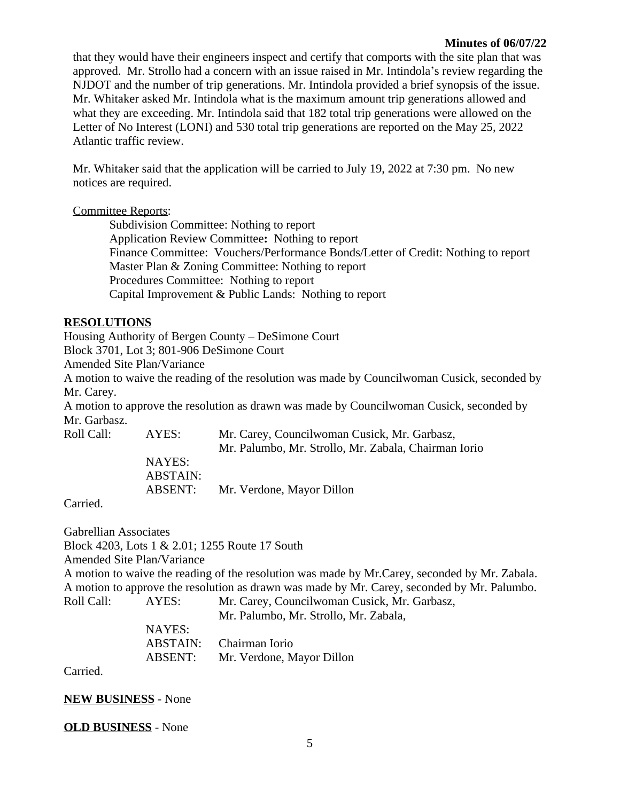#### **Minutes of 06/07/22**

that they would have their engineers inspect and certify that comports with the site plan that was approved. Mr. Strollo had a concern with an issue raised in Mr. Intindola's review regarding the NJDOT and the number of trip generations. Mr. Intindola provided a brief synopsis of the issue. Mr. Whitaker asked Mr. Intindola what is the maximum amount trip generations allowed and what they are exceeding. Mr. Intindola said that 182 total trip generations were allowed on the Letter of No Interest (LONI) and 530 total trip generations are reported on the May 25, 2022 Atlantic traffic review.

Mr. Whitaker said that the application will be carried to July 19, 2022 at 7:30 pm. No new notices are required.

#### Committee Reports:

Subdivision Committee: Nothing to report Application Review Committee**:** Nothing to report Finance Committee: Vouchers/Performance Bonds/Letter of Credit: Nothing to report Master Plan & Zoning Committee: Nothing to report Procedures Committee: Nothing to report Capital Improvement & Public Lands: Nothing to report

#### **RESOLUTIONS**

Housing Authority of Bergen County – DeSimone Court Block 3701, Lot 3; 801-906 DeSimone Court

Amended Site Plan/Variance

A motion to waive the reading of the resolution was made by Councilwoman Cusick, seconded by Mr. Carey.

A motion to approve the resolution as drawn was made by Councilwoman Cusick, seconded by Mr. Garbasz.

| Roll Call: | AYES:           | Mr. Carey, Councilwoman Cusick, Mr. Garbasz,         |
|------------|-----------------|------------------------------------------------------|
|            |                 | Mr. Palumbo, Mr. Strollo, Mr. Zabala, Chairman Iorio |
|            | NAYES:          |                                                      |
|            | <b>ABSTAIN:</b> |                                                      |
|            | ABSENT:         | Mr. Verdone, Mayor Dillon                            |
|            |                 |                                                      |

Carried.

Gabrellian Associates Block 4203, Lots 1 & 2.01; 1255 Route 17 South Amended Site Plan/Variance A motion to waive the reading of the resolution was made by Mr.Carey, seconded by Mr. Zabala. A motion to approve the resolution as drawn was made by Mr. Carey, seconded by Mr. Palumbo. Roll Call: AYES: Mr. Carey, Councilwoman Cusick, Mr. Garbasz, Mr. Palumbo, Mr. Strollo, Mr. Zabala,

> NAYES: ABSTAIN: Chairman Iorio ABSENT: Mr. Verdone, Mayor Dillon

Carried.

**NEW BUSINESS** - None

**OLD BUSINESS** - None